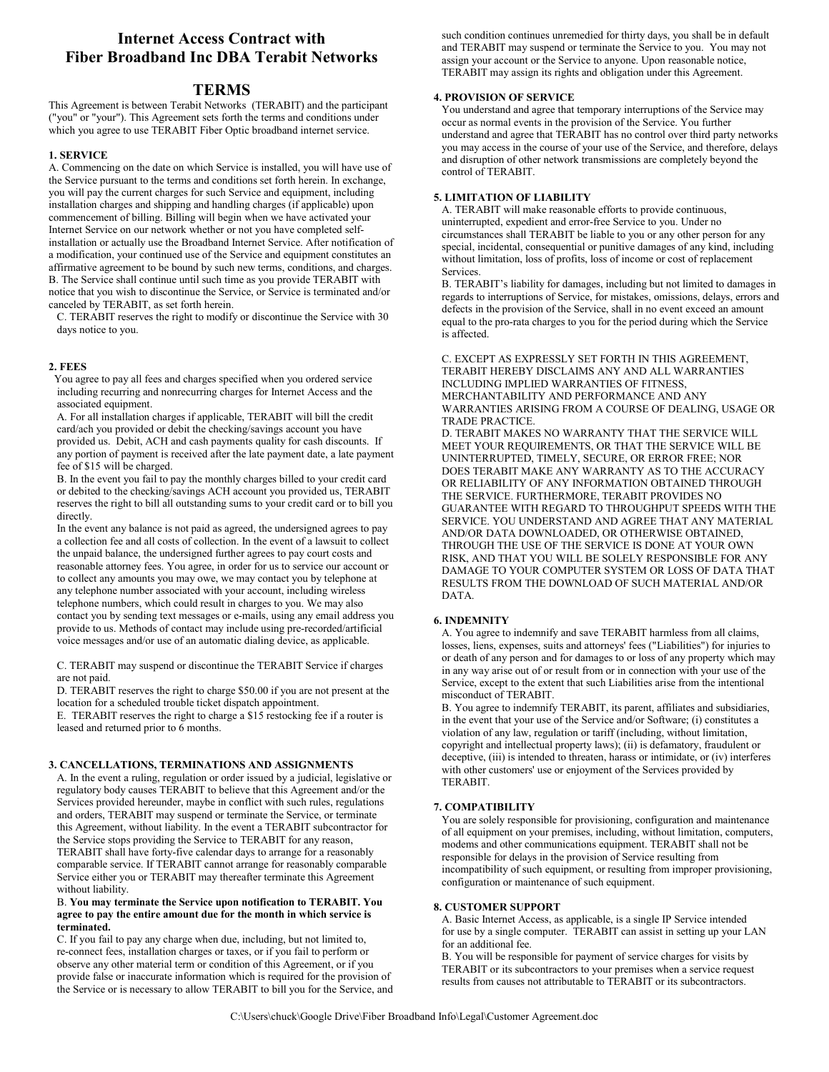# **Internet Access Contract with Fiber Broadband Inc DBA Terabit Networks**

# **TERMS**

This Agreement is between Terabit Networks (TERABIT) and the participant ("you" or "your"). This Agreement sets forth the terms and conditions under which you agree to use TERABIT Fiber Optic broadband internet service.

# **1. SERVICE**

A. Commencing on the date on which Service is installed, you will have use of the Service pursuant to the terms and conditions set forth herein. In exchange, you will pay the current charges for such Service and equipment, including installation charges and shipping and handling charges (if applicable) upon commencement of billing. Billing will begin when we have activated your Internet Service on our network whether or not you have completed selfinstallation or actually use the Broadband Internet Service. After notification of a modification, your continued use of the Service and equipment constitutes an affirmative agreement to be bound by such new terms, conditions, and charges. B. The Service shall continue until such time as you provide TERABIT with notice that you wish to discontinue the Service, or Service is terminated and/or canceled by TERABIT, as set forth herein.

C. TERABIT reserves the right to modify or discontinue the Service with 30 days notice to you.

# **2. FEES**

 You agree to pay all fees and charges specified when you ordered service including recurring and nonrecurring charges for Internet Access and the associated equipment.

A. For all installation charges if applicable, TERABIT will bill the credit card/ach you provided or debit the checking/savings account you have provided us. Debit, ACH and cash payments quality for cash discounts. If any portion of payment is received after the late payment date, a late payment fee of \$15 will be charged.

B. In the event you fail to pay the monthly charges billed to your credit card or debited to the checking/savings ACH account you provided us, TERABIT reserves the right to bill all outstanding sums to your credit card or to bill you directly.

In the event any balance is not paid as agreed, the undersigned agrees to pay a collection fee and all costs of collection. In the event of a lawsuit to collect the unpaid balance, the undersigned further agrees to pay court costs and reasonable attorney fees. You agree, in order for us to service our account or to collect any amounts you may owe, we may contact you by telephone at any telephone number associated with your account, including wireless telephone numbers, which could result in charges to you. We may also contact you by sending text messages or e-mails, using any email address you provide to us. Methods of contact may include using pre-recorded/artificial voice messages and/or use of an automatic dialing device, as applicable.

C. TERABIT may suspend or discontinue the TERABIT Service if charges are not paid.

D. TERABIT reserves the right to charge \$50.00 if you are not present at the location for a scheduled trouble ticket dispatch appointment.

E. TERABIT reserves the right to charge a \$15 restocking fee if a router is leased and returned prior to 6 months.

# **3. CANCELLATIONS, TERMINATIONS AND ASSIGNMENTS**

A. In the event a ruling, regulation or order issued by a judicial, legislative or regulatory body causes TERABIT to believe that this Agreement and/or the Services provided hereunder, maybe in conflict with such rules, regulations and orders, TERABIT may suspend or terminate the Service, or terminate this Agreement, without liability. In the event a TERABIT subcontractor for the Service stops providing the Service to TERABIT for any reason, TERABIT shall have forty-five calendar days to arrange for a reasonably comparable service. If TERABIT cannot arrange for reasonably comparable Service either you or TERABIT may thereafter terminate this Agreement without liability.

# B. **You may terminate the Service upon notification to TERABIT. You agree to pay the entire amount due for the month in which service is terminated.**

C. If you fail to pay any charge when due, including, but not limited to, re-connect fees, installation charges or taxes, or if you fail to perform or observe any other material term or condition of this Agreement, or if you provide false or inaccurate information which is required for the provision of the Service or is necessary to allow TERABIT to bill you for the Service, and

such condition continues unremedied for thirty days, you shall be in default and TERABIT may suspend or terminate the Service to you. You may not assign your account or the Service to anyone. Upon reasonable notice, TERABIT may assign its rights and obligation under this Agreement.

# **4. PROVISION OF SERVICE**

You understand and agree that temporary interruptions of the Service may occur as normal events in the provision of the Service. You further understand and agree that TERABIT has no control over third party networks you may access in the course of your use of the Service, and therefore, delays and disruption of other network transmissions are completely beyond the control of TERABIT.

# **5. LIMITATION OF LIABILITY**

A. TERABIT will make reasonable efforts to provide continuous, uninterrupted, expedient and error-free Service to you. Under no circumstances shall TERABIT be liable to you or any other person for any special, incidental, consequential or punitive damages of any kind, including without limitation, loss of profits, loss of income or cost of replacement Services.

B. TERABIT's liability for damages, including but not limited to damages in regards to interruptions of Service, for mistakes, omissions, delays, errors and defects in the provision of the Service, shall in no event exceed an amount equal to the pro-rata charges to you for the period during which the Service is affected.

C. EXCEPT AS EXPRESSLY SET FORTH IN THIS AGREEMENT, TERABIT HEREBY DISCLAIMS ANY AND ALL WARRANTIES INCLUDING IMPLIED WARRANTIES OF FITNESS, MERCHANTABILITY AND PERFORMANCE AND ANY WARRANTIES ARISING FROM A COURSE OF DEALING, USAGE OR TRADE PRACTICE.

D. TERABIT MAKES NO WARRANTY THAT THE SERVICE WILL MEET YOUR REQUIREMENTS, OR THAT THE SERVICE WILL BE UNINTERRUPTED, TIMELY, SECURE, OR ERROR FREE; NOR DOES TERABIT MAKE ANY WARRANTY AS TO THE ACCURACY OR RELIABILITY OF ANY INFORMATION OBTAINED THROUGH THE SERVICE. FURTHERMORE, TERABIT PROVIDES NO GUARANTEE WITH REGARD TO THROUGHPUT SPEEDS WITH THE SERVICE. YOU UNDERSTAND AND AGREE THAT ANY MATERIAL AND/OR DATA DOWNLOADED, OR OTHERWISE OBTAINED, THROUGH THE USE OF THE SERVICE IS DONE AT YOUR OWN RISK, AND THAT YOU WILL BE SOLELY RESPONSIBLE FOR ANY DAMAGE TO YOUR COMPUTER SYSTEM OR LOSS OF DATA THAT RESULTS FROM THE DOWNLOAD OF SUCH MATERIAL AND/OR DATA.

# **6. INDEMNITY**

A. You agree to indemnify and save TERABIT harmless from all claims, losses, liens, expenses, suits and attorneys' fees ("Liabilities") for injuries to or death of any person and for damages to or loss of any property which may in any way arise out of or result from or in connection with your use of the Service, except to the extent that such Liabilities arise from the intentional misconduct of TERABIT.

B. You agree to indemnify TERABIT, its parent, affiliates and subsidiaries, in the event that your use of the Service and/or Software; (i) constitutes a violation of any law, regulation or tariff (including, without limitation, copyright and intellectual property laws); (ii) is defamatory, fraudulent or deceptive, (iii) is intended to threaten, harass or intimidate, or (iv) interferes with other customers' use or enjoyment of the Services provided by TERABIT.

# **7. COMPATIBILITY**

You are solely responsible for provisioning, configuration and maintenance of all equipment on your premises, including, without limitation, computers, modems and other communications equipment. TERABIT shall not be responsible for delays in the provision of Service resulting from incompatibility of such equipment, or resulting from improper provisioning, configuration or maintenance of such equipment.

# **8. CUSTOMER SUPPORT**

A. Basic Internet Access, as applicable, is a single IP Service intended for use by a single computer. TERABIT can assist in setting up your LAN for an additional fee.

B. You will be responsible for payment of service charges for visits by TERABIT or its subcontractors to your premises when a service request results from causes not attributable to TERABIT or its subcontractors.